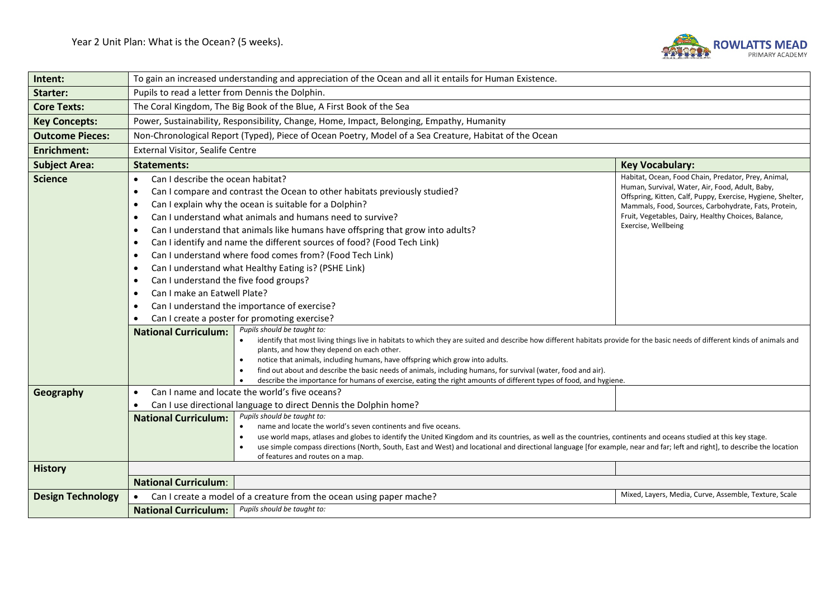

| Intent:                  | To gain an increased understanding and appreciation of the Ocean and all it entails for Human Existence.                                                                                                                                                                                                                                                                                                                                                                                                                                                                                                                                                                                                                                                                             |                                                                                                                                                                                                                                                                                                             |  |
|--------------------------|--------------------------------------------------------------------------------------------------------------------------------------------------------------------------------------------------------------------------------------------------------------------------------------------------------------------------------------------------------------------------------------------------------------------------------------------------------------------------------------------------------------------------------------------------------------------------------------------------------------------------------------------------------------------------------------------------------------------------------------------------------------------------------------|-------------------------------------------------------------------------------------------------------------------------------------------------------------------------------------------------------------------------------------------------------------------------------------------------------------|--|
| Starter:                 | Pupils to read a letter from Dennis the Dolphin.                                                                                                                                                                                                                                                                                                                                                                                                                                                                                                                                                                                                                                                                                                                                     |                                                                                                                                                                                                                                                                                                             |  |
| <b>Core Texts:</b>       | The Coral Kingdom, The Big Book of the Blue, A First Book of the Sea                                                                                                                                                                                                                                                                                                                                                                                                                                                                                                                                                                                                                                                                                                                 |                                                                                                                                                                                                                                                                                                             |  |
| <b>Key Concepts:</b>     | Power, Sustainability, Responsibility, Change, Home, Impact, Belonging, Empathy, Humanity                                                                                                                                                                                                                                                                                                                                                                                                                                                                                                                                                                                                                                                                                            |                                                                                                                                                                                                                                                                                                             |  |
| <b>Outcome Pieces:</b>   | Non-Chronological Report (Typed), Piece of Ocean Poetry, Model of a Sea Creature, Habitat of the Ocean                                                                                                                                                                                                                                                                                                                                                                                                                                                                                                                                                                                                                                                                               |                                                                                                                                                                                                                                                                                                             |  |
| <b>Enrichment:</b>       | External Visitor, Sealife Centre                                                                                                                                                                                                                                                                                                                                                                                                                                                                                                                                                                                                                                                                                                                                                     |                                                                                                                                                                                                                                                                                                             |  |
| <b>Subject Area:</b>     | <b>Statements:</b><br><b>Key Vocabulary:</b>                                                                                                                                                                                                                                                                                                                                                                                                                                                                                                                                                                                                                                                                                                                                         |                                                                                                                                                                                                                                                                                                             |  |
| <b>Science</b>           | Can I describe the ocean habitat?<br>$\bullet$<br>Can I compare and contrast the Ocean to other habitats previously studied?<br>$\bullet$<br>Can I explain why the ocean is suitable for a Dolphin?<br>$\bullet$<br>Can I understand what animals and humans need to survive?<br>$\bullet$<br>Can I understand that animals like humans have offspring that grow into adults?<br>$\bullet$<br>Can I identify and name the different sources of food? (Food Tech Link)<br>$\bullet$<br>Can I understand where food comes from? (Food Tech Link)<br>$\bullet$<br>Can I understand what Healthy Eating is? (PSHE Link)<br>$\bullet$<br>Can I understand the five food groups?<br>$\bullet$<br>Can I make an Eatwell Plate?<br>Can I understand the importance of exercise?<br>$\bullet$ | Habitat, Ocean, Food Chain, Predator, Prey, Animal,<br>Human, Survival, Water, Air, Food, Adult, Baby,<br>Offspring, Kitten, Calf, Puppy, Exercise, Hygiene, Shelter,<br>Mammals, Food, Sources, Carbohydrate, Fats, Protein,<br>Fruit, Vegetables, Dairy, Healthy Choices, Balance,<br>Exercise, Wellbeing |  |
|                          | Can I create a poster for promoting exercise?<br>Pupils should be taught to:<br><b>National Curriculum:</b><br>identify that most living things live in habitats to which they are suited and describe how different habitats provide for the basic needs of different kinds of animals and<br>plants, and how they depend on each other.<br>notice that animals, including humans, have offspring which grow into adults.<br>find out about and describe the basic needs of animals, including humans, for survival (water, food and air).                                                                                                                                                                                                                                          |                                                                                                                                                                                                                                                                                                             |  |
| Geography                | describe the importance for humans of exercise, eating the right amounts of different types of food, and hygiene.<br>Can I name and locate the world's five oceans?<br>$\bullet$<br>Can I use directional language to direct Dennis the Dolphin home?<br>Pupils should be taught to:<br><b>National Curriculum:</b><br>name and locate the world's seven continents and five oceans.<br>$\bullet$                                                                                                                                                                                                                                                                                                                                                                                    |                                                                                                                                                                                                                                                                                                             |  |
|                          | use world maps, atlases and globes to identify the United Kingdom and its countries, as well as the countries, continents and oceans studied at this key stage.<br>use simple compass directions (North, South, East and West) and locational and directional language [for example, near and far; left and right], to describe the location<br>of features and routes on a map.                                                                                                                                                                                                                                                                                                                                                                                                     |                                                                                                                                                                                                                                                                                                             |  |
| <b>History</b>           |                                                                                                                                                                                                                                                                                                                                                                                                                                                                                                                                                                                                                                                                                                                                                                                      |                                                                                                                                                                                                                                                                                                             |  |
|                          | <b>National Curriculum:</b>                                                                                                                                                                                                                                                                                                                                                                                                                                                                                                                                                                                                                                                                                                                                                          |                                                                                                                                                                                                                                                                                                             |  |
| <b>Design Technology</b> | Can I create a model of a creature from the ocean using paper mache?<br>$\bullet$                                                                                                                                                                                                                                                                                                                                                                                                                                                                                                                                                                                                                                                                                                    | Mixed, Layers, Media, Curve, Assemble, Texture, Scale                                                                                                                                                                                                                                                       |  |
|                          | Pupils should be taught to:<br><b>National Curriculum:</b>                                                                                                                                                                                                                                                                                                                                                                                                                                                                                                                                                                                                                                                                                                                           |                                                                                                                                                                                                                                                                                                             |  |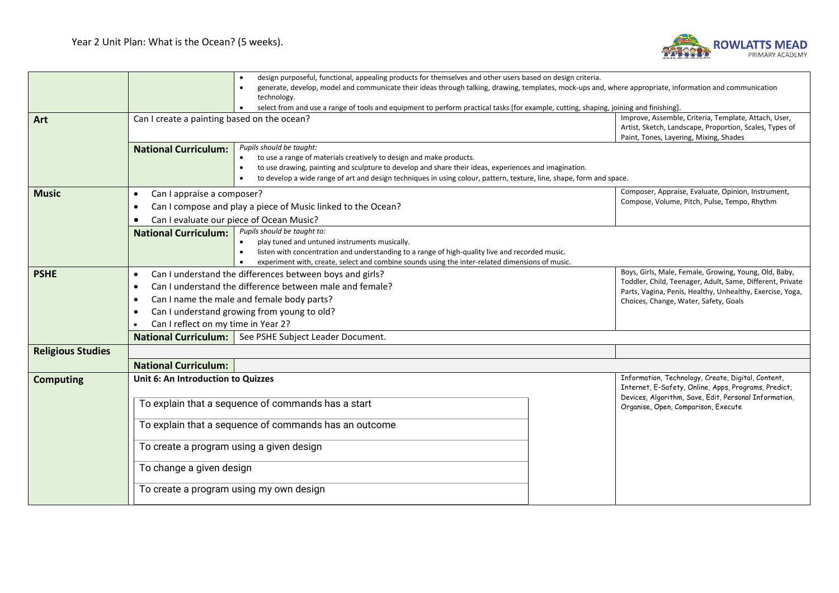

|                          |                                                                                                                                                         | design purposeful, functional, appealing products for themselves and other users based on design criteria.                                                                                                                                                                                                                       |  |                                                                                                                                                                 |  |
|--------------------------|---------------------------------------------------------------------------------------------------------------------------------------------------------|----------------------------------------------------------------------------------------------------------------------------------------------------------------------------------------------------------------------------------------------------------------------------------------------------------------------------------|--|-----------------------------------------------------------------------------------------------------------------------------------------------------------------|--|
|                          |                                                                                                                                                         | generate, develop, model and communicate their ideas through talking, drawing, templates, mock-ups and, where appropriate, information and communication                                                                                                                                                                         |  |                                                                                                                                                                 |  |
|                          |                                                                                                                                                         | technology.                                                                                                                                                                                                                                                                                                                      |  |                                                                                                                                                                 |  |
|                          |                                                                                                                                                         | select from and use a range of tools and equipment to perform practical tasks [for example, cutting, shaping, joining and finishing]                                                                                                                                                                                             |  |                                                                                                                                                                 |  |
| Art                      | Can I create a painting based on the ocean?                                                                                                             |                                                                                                                                                                                                                                                                                                                                  |  | Improve, Assemble, Criteria, Template, Attach, User,<br>Artist, Sketch, Landscape, Proportion, Scales, Types of                                                 |  |
|                          |                                                                                                                                                         |                                                                                                                                                                                                                                                                                                                                  |  | Paint, Tones, Layering, Mixing, Shades                                                                                                                          |  |
|                          | <b>National Curriculum:</b>                                                                                                                             | Pupils should be taught:<br>to use a range of materials creatively to design and make products.<br>to use drawing, painting and sculpture to develop and share their ideas, experiences and imagination.<br>to develop a wide range of art and design techniques in using colour, pattern, texture, line, shape, form and space. |  |                                                                                                                                                                 |  |
| <b>Music</b>             | Can I appraise a composer?<br>$\bullet$                                                                                                                 |                                                                                                                                                                                                                                                                                                                                  |  | Composer, Appraise, Evaluate, Opinion, Instrument,                                                                                                              |  |
|                          |                                                                                                                                                         | Can I compose and play a piece of Music linked to the Ocean?                                                                                                                                                                                                                                                                     |  | Compose, Volume, Pitch, Pulse, Tempo, Rhythm                                                                                                                    |  |
|                          |                                                                                                                                                         |                                                                                                                                                                                                                                                                                                                                  |  |                                                                                                                                                                 |  |
|                          | Can I evaluate our piece of Ocean Music?<br>Pupils should be taught to:<br><b>National Curriculum:</b><br>play tuned and untuned instruments musically. |                                                                                                                                                                                                                                                                                                                                  |  |                                                                                                                                                                 |  |
|                          |                                                                                                                                                         |                                                                                                                                                                                                                                                                                                                                  |  |                                                                                                                                                                 |  |
|                          |                                                                                                                                                         | listen with concentration and understanding to a range of high-quality live and recorded music.                                                                                                                                                                                                                                  |  |                                                                                                                                                                 |  |
|                          |                                                                                                                                                         | experiment with, create, select and combine sounds using the inter-related dimensions of music.                                                                                                                                                                                                                                  |  |                                                                                                                                                                 |  |
| <b>PSHE</b>              | $\bullet$                                                                                                                                               | Can I understand the differences between boys and girls?                                                                                                                                                                                                                                                                         |  | Boys, Girls, Male, Female, Growing, Young, Old, Baby,                                                                                                           |  |
|                          | $\bullet$                                                                                                                                               | Can I understand the difference between male and female?                                                                                                                                                                                                                                                                         |  | Toddler, Child, Teenager, Adult, Same, Different, Private<br>Parts, Vagina, Penis, Healthy, Unhealthy, Exercise, Yoga,<br>Choices, Change, Water, Safety, Goals |  |
|                          | $\bullet$                                                                                                                                               | Can I name the male and female body parts?                                                                                                                                                                                                                                                                                       |  |                                                                                                                                                                 |  |
|                          | Can I understand growing from young to old?<br>$\bullet$<br>Can I reflect on my time in Year 2?                                                         |                                                                                                                                                                                                                                                                                                                                  |  |                                                                                                                                                                 |  |
|                          |                                                                                                                                                         |                                                                                                                                                                                                                                                                                                                                  |  |                                                                                                                                                                 |  |
|                          | <b>National Curriculum:</b> See PSHE Subject Leader Document.                                                                                           |                                                                                                                                                                                                                                                                                                                                  |  |                                                                                                                                                                 |  |
| <b>Religious Studies</b> |                                                                                                                                                         |                                                                                                                                                                                                                                                                                                                                  |  |                                                                                                                                                                 |  |
|                          | <b>National Curriculum:</b>                                                                                                                             |                                                                                                                                                                                                                                                                                                                                  |  |                                                                                                                                                                 |  |
| <b>Computing</b>         | Unit 6: An Introduction to Quizzes                                                                                                                      |                                                                                                                                                                                                                                                                                                                                  |  | Information, Technology, Create, Digital, Content,                                                                                                              |  |
|                          |                                                                                                                                                         |                                                                                                                                                                                                                                                                                                                                  |  | Internet, E-Safety, Online, Apps, Programs, Predict,<br>Devices, Algorithm, Save, Edit, Personal Information,                                                   |  |
|                          |                                                                                                                                                         | To explain that a sequence of commands has a start                                                                                                                                                                                                                                                                               |  | Organise, Open, Comparison, Execute                                                                                                                             |  |
|                          |                                                                                                                                                         | To explain that a sequence of commands has an outcome                                                                                                                                                                                                                                                                            |  |                                                                                                                                                                 |  |
|                          | To create a program using a given design                                                                                                                |                                                                                                                                                                                                                                                                                                                                  |  |                                                                                                                                                                 |  |
|                          | To change a given design                                                                                                                                |                                                                                                                                                                                                                                                                                                                                  |  |                                                                                                                                                                 |  |
|                          | To create a program using my own design                                                                                                                 |                                                                                                                                                                                                                                                                                                                                  |  |                                                                                                                                                                 |  |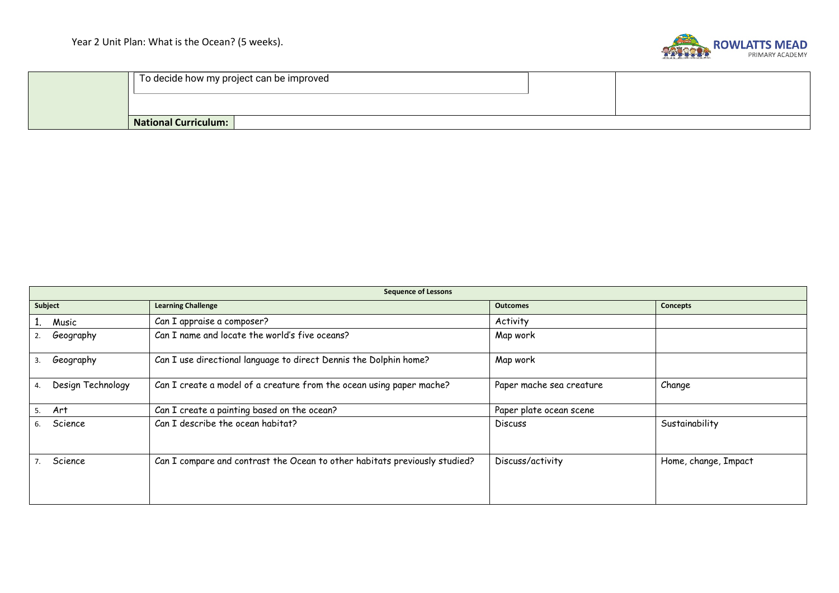

| To decide how my project can be improved |  |  |
|------------------------------------------|--|--|
|                                          |  |  |
| <b>National Curriculum:</b>              |  |  |

| <b>Sequence of Lessons</b> |                                                                            |                          |                      |
|----------------------------|----------------------------------------------------------------------------|--------------------------|----------------------|
| Subject                    | <b>Learning Challenge</b>                                                  | <b>Outcomes</b>          | Concepts             |
| Music                      | Can I appraise a composer?                                                 | Activity                 |                      |
| Geography<br>2.            | Can I name and locate the world's five oceans?                             | Map work                 |                      |
| Geography<br>3.            | Can I use directional language to direct Dennis the Dolphin home?          | Map work                 |                      |
| Design Technology<br>4.    | Can I create a model of a creature from the ocean using paper mache?       | Paper mache sea creature | Change               |
| 5. Art                     | Can I create a painting based on the ocean?                                | Paper plate ocean scene  |                      |
| Science<br>6.              | Can I describe the ocean habitat?                                          | <b>Discuss</b>           | Sustainability       |
| Science                    | Can I compare and contrast the Ocean to other habitats previously studied? | Discuss/activity         | Home, change, Impact |